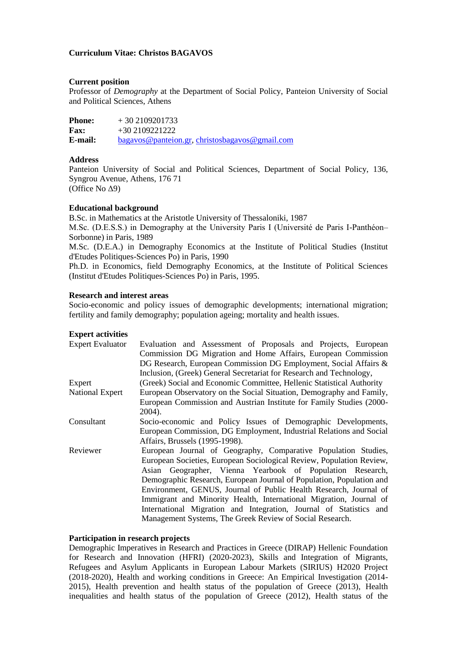# **Curriculum Vitae: Christos BAGAVOS**

## **Current position**

Professor of *Demography* at the Department of Social Policy, Panteion University of Social and Political Sciences, Athens

| <b>Phone:</b> | $+30\,2109201733$                                 |
|---------------|---------------------------------------------------|
| <b>Fax:</b>   | $+302109221222$                                   |
| E-mail:       | $bagavos@panteion.gr$ , christosbagavos@gmail.com |

# **Address**

Panteion University of Social and Political Sciences, Department of Social Policy, 136, Syngrou Avenue, Athens, 176 71 (Office No Δ9)

# **Educational background**

B.Sc. in Mathematics at the Aristotle University of Thessaloniki, 1987

M.Sc. (D.E.S.S.) in Demography at the University Paris I (Université de Paris I-Panthéon– Sorbonne) in Paris, 1989

M.Sc. (D.E.A.) in Demography Economics at the Institute of Political Studies (Institut d'Etudes Politiques-Sciences Po) in Paris, 1990

Ph.D. in Economics, field Demography Economics, at the Institute of Political Sciences (Institut d'Etudes Politiques-Sciences Po) in Paris, 1995.

#### **Research and interest areas**

Socio-economic and policy issues of demographic developments; international migration; fertility and family demography; population ageing; mortality and health issues.

## **Expert activities**

| <b>Expert Evaluator</b> | Evaluation and Assessment of Proposals and Projects, European         |
|-------------------------|-----------------------------------------------------------------------|
|                         | Commission DG Migration and Home Affairs, European Commission         |
|                         | DG Research, European Commission DG Employment, Social Affairs &      |
|                         | Inclusion, (Greek) General Secretariat for Research and Technology,   |
| Expert                  | (Greek) Social and Economic Committee, Hellenic Statistical Authority |
| <b>National Expert</b>  | European Observatory on the Social Situation, Demography and Family,  |
|                         | European Commission and Austrian Institute for Family Studies (2000-  |
|                         | 2004).                                                                |
| Consultant              | Socio-economic and Policy Issues of Demographic Developments,         |
|                         | European Commission, DG Employment, Industrial Relations and Social   |
|                         | Affairs, Brussels (1995-1998).                                        |
| Reviewer                | European Journal of Geography, Comparative Population Studies,        |
|                         | European Societies, European Sociological Review, Population Review,  |
|                         | Asian Geographer, Vienna Yearbook of Population Research,             |
|                         | Demographic Research, European Journal of Population, Population and  |
|                         | Environment, GENUS, Journal of Public Health Research, Journal of     |
|                         | Immigrant and Minority Health, International Migration, Journal of    |
|                         | International Migration and Integration, Journal of Statistics and    |
|                         | Management Systems, The Greek Review of Social Research.              |
|                         |                                                                       |

# **Participation in research projects**

Demographic Imperatives in Research and Practices in Greece (DIRAP) Hellenic Foundation for Research and Innovation (HFRI) (2020-2023), Skills and Integration of Migrants, Refugees and Asylum Applicants in European Labour Markets (SIRIUS) H2020 Project (2018-2020), Health and working conditions in Greece: An Empirical Investigation (2014- 2015), Health prevention and health status of the population of Greece (2013), Health inequalities and health status of the population of Greece (2012), Health status of the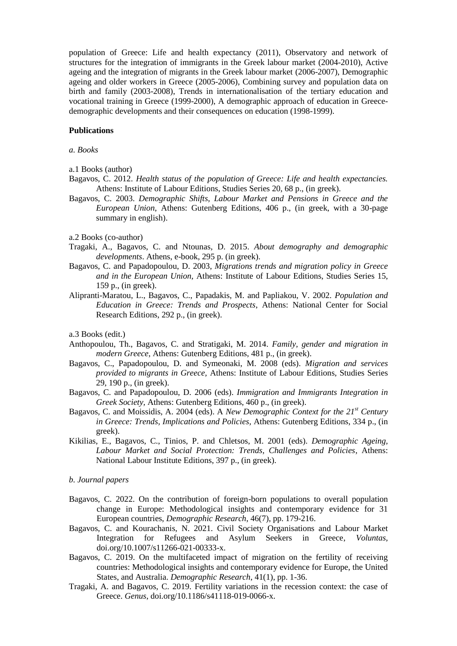population of Greece: Life and health expectancy (2011), Observatory and network of structures for the integration of immigrants in the Greek labour market (2004-2010), Active ageing and the integration of migrants in the Greek labour market (2006-2007), Demographic ageing and older workers in Greece (2005-2006), Combining survey and population data on birth and family (2003-2008), Trends in internationalisation of the tertiary education and vocational training in Greece (1999-2000), A demographic approach of education in Greecedemographic developments and their consequences on education (1998-1999).

## **Publications**

#### *a. Books*

- a.1 Books (author)
- Bagavos, C. 2012. *Health status of the population of Greece: Life and health expectancies.* Athens: Institute of Labour Editions, Studies Series 20, 68 p., (in greek).
- Bagavos, C. 2003. *Demographic Shifts, Labour Market and Pensions in Greece and the European Union*, Athens: Gutenberg Editions, 406 p., (in greek, with a 30-page summary in english).

#### a.2 Books (co-author)

- Tragaki, A., Bagavos, C. and Ntounas, D. 2015. *About demography and demographic developments*. Athens, e-book, 295 p. (in greek).
- Bagavos, C. and Papadopoulou, D. 2003, *Migrations trends and migration policy in Greece and in the European Union,* Athens: Institute of Labour Editions, Studies Series 15, 159 p., (in greek).
- Alipranti-Maratou, L., Bagavos, C., Papadakis, M. and Papliakou, V. 2002. *Population and Education in Greece: Trends and Prospects*, Athens: National Center for Social Research Editions, 292 p., (in greek).

a.3 Books (edit.)

- Anthopoulou, Th., Bagavos, C. and Stratigaki, M. 2014. *Family, gender and migration in modern Greece*, Athens: Gutenberg Editions, 481 p., (in greek).
- Bagavos, C., Papadopoulou, D. and Symeonaki, M. 2008 (eds). *Migration and services provided to migrants in Greece,* Athens: Institute of Labour Editions, Studies Series 29, 190 p., (in greek).
- Bagavos, C. and Papadopoulou, D. 2006 (eds). *Immigration and Immigrants Integration in Greek Society,* Athens: Gutenberg Editions, 460 p., (in greek).
- Bagavos, C. and Moissidis, A. 2004 (eds). A *New Demographic Context for the 21st Century in Greece: Trends, Implications and Policies,* Athens: Gutenberg Editions, 334 p., (in greek).
- Kikilias, E., Bagavos, C., Tinios, P. and Chletsos, M. 2001 (eds). *Demographic Ageing, Labour Market and Social Protection: Trends, Challenges and Policies*, Athens: National Labour Institute Editions, 397 p., (in greek).

#### *b. Journal papers*

- Bagavos, C. 2022. On the contribution of foreign-born populations to overall population change in Europe: Methodological insights and contemporary evidence for 31 European countries, *Demographic Research*, 46(7), pp. 179-216.
- Bagavos, C. and Kourachanis, N. 2021. Civil Society Organisations and Labour Market Integration for Refugees and Asylum Seekers in Greece, *Voluntas,*  doi.org/10.1007/s11266-021-00333-x.
- Bagavos, C. 2019. On the multifaceted impact of migration on the fertility of receiving countries: Methodological insights and contemporary evidence for Europe, the United States, and Australia. *Demographic Research*, 41(1), pp. 1-36.
- Tragaki, A. and Bagavos, C. 2019. Fertility variations in the recession context: the case of Greece. *Genus*, doi.org/10.1186/s41118-019-0066-x.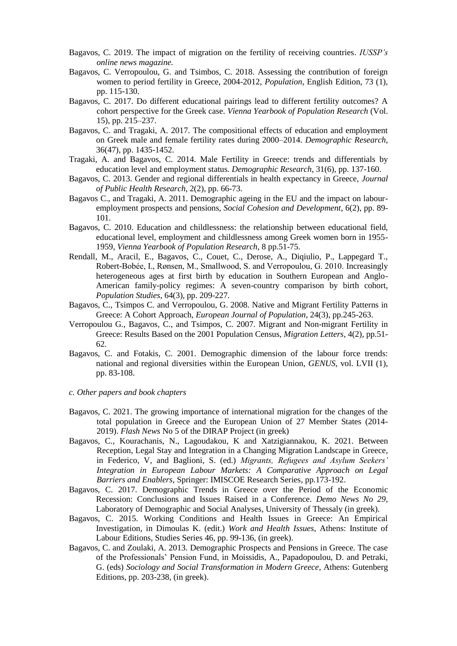- Bagavos, C. 2019. The impact of migration on the fertility of receiving countries. *IUSSP's online news magazine.*
- Bagavos, C. Verropoulou, G. and Tsimbos, C. 2018. Assessing the contribution of foreign women to period fertility in Greece, 2004-2012, *Population*, English Edition, 73 (1), pp. 115-130.
- Bagavos, C. 2017. Do different educational pairings lead to different fertility outcomes? A cohort perspective for the Greek case. *Vienna Yearbook of Population Research* (Vol. 15), pp. 215–237.
- Bagavos, C. and Tragaki, A. 2017. The compositional effects of education and employment on Greek male and female fertility rates during 2000–2014. *Demographic Research*, 36(47), pp. 1435-1452.
- Tragaki, A. and Bagavos, C. 2014. Male Fertility in Greece: trends and differentials by education level and employment status. *Demographic Research*, 31(6), pp. 137-160.
- Bagavos, C. 2013. Gender and regional differentials in health expectancy in Greece, *Journal of Public Health Research,* 2(2), pp. 66-73.
- Bagavos C., and Tragaki, A. 2011. Demographic ageing in the EU and the impact on labouremployment prospects and pensions, *Social Cohesion and Development*, 6(2), pp. 89- 101.
- Bagavos, C. 2010. Education and childlessness: the relationship between educational field, educational level, employment and childlessness among Greek women born in 1955- 1959, *Vienna Yearbook of Population Research*, 8 pp.51-75.
- Rendall, M., Aracil, E., Bagavos, C., Couet, C., Derose, A., Diqiulio, P., Lappegard T., Robert-Bobée, I., Rønsen, M., Smallwood, S. and Verropoulou, G. 2010. Increasingly heterogeneous ages at first birth by education in Southern European and Anglo-American family-policy regimes: A seven-country comparison by birth cohort, *Population Studies*, 64(3), pp. 209-227.
- Bagavos, C., Tsimpos C. and Verropoulou, G. 2008. Native and Migrant Fertility Patterns in Greece: A Cohort Approach, *European Journal of Population*, 24(3), pp.245-263.
- Verropoulou G., Bagavos, C., and Tsimpos, C. 2007. Migrant and Non-migrant Fertility in Greece: Results Based on the 2001 Population Census, *Migration Letters*, 4(2), pp.51- 62.
- Bagavos, C. and Fotakis, C. 2001. Demographic dimension of the labour force trends: national and regional diversities within the European Union, *GENUS,* vol. LVII (1), pp. 83-108.
- *c. Other papers and book chapters*
- Bagavos, C. 2021. The growing importance of international migration for the changes of the total population in Greece and the European Union of 27 Member States (2014- 2019). *Flash News* No 5 of the DIRAP Project (in greek)
- Bagavos, C., Kourachanis, N., Lagoudakou, K and Xatzigiannakou, K. 2021. Between Reception, Legal Stay and Integration in a Changing Migration Landscape in Greece, in Federico, V, and Baglioni, S. (ed.) *Migrants, Refugees and Asylum Seekers' Integration in European Labour Markets: A Comparative Approach on Legal Barriers and Enablers*, Springer: IMISCOE Research Series, pp.173-192.
- Bagavos, C. 2017. Demographic Trends in Greece over the Period of the Economic Recession: Conclusions and Issues Raised in a Conference. *Demo News No 29*, Laboratory of Demographic and Social Analyses, University of Thessaly (in greek).
- Bagavos, C. 2015. Working Conditions and Health Issues in Greece: An Empirical Investigation, in Dimoulas K. (edit.) *Work and Health Issues*, Athens: Institute of Labour Editions, Studies Series 46, pp. 99-136, (in greek).
- Bagavos, C. and Zoulaki, A. 2013. Demographic Prospects and Pensions in Greece. The case of the Professionals' Pension Fund, in Moissidis, A., Papadopoulou, D. and Petraki, G. (eds) *Sociology and Social Transformation in Modern Greece*, Athens: Gutenberg Editions, pp. 203-238, (in greek).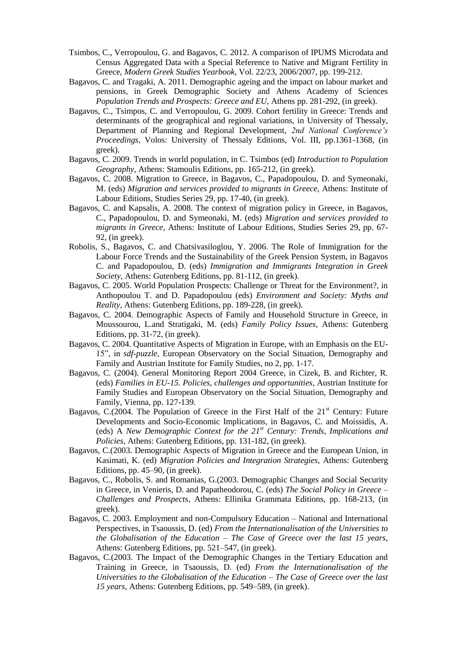- Tsimbos, C., Verropoulou, G. and Bagavos, C. 2012. A comparison of IPUMS Microdata and Census Aggregated Data with a Special Reference to Native and Migrant Fertility in Greece, *Modern Greek Studies Yearbook*, Vol. 22/23, 2006/2007, pp. 199-212.
- Bagavos, C. and Tragaki, A. 2011. Demographic ageing and the impact on labour market and pensions, in Greek Demographic Society and Athens Academy of Sciences *Population Trends and Prospects: Greece and EU*, Athens pp. 281-292, (in greek).
- Bagavos, C., Tsimpos, C. and Verropoulou, G. 2009. Cohort fertility in Greece: Trends and determinants of the geographical and regional variations, in University of Thessaly, Department of Planning and Regional Development, *2nd National Conference's Proceedings*, Volos: University of Thessaly Editions, Vol. III, pp.1361-1368, (in greek).
- Bagavos, C. 2009. Trends in world population, in C. Tsimbos (ed) *Introduction to Population Geography*, Athens: Stamoulis Editions, pp. 165-212, (in greek).
- Bagavos, C. 2008. Migration to Greece, in Bagavos, C., Papadopoulou, D. and Symeonaki, M. (eds) *Migration and services provided to migrants in Greece,* Athens: Institute of Labour Editions, Studies Series 29, pp. 17-40, (in greek).
- Bagavos, C. and Kapsalis, A. 2008. The context of migration policy in Greece, in Bagavos, C., Papadopoulou, D. and Symeonaki, M. (eds) *Migration and services provided to migrants in Greece,* Athens: Institute of Labour Editions, Studies Series 29, pp. 67- 92, (in greek).
- Robolis, S., Bagavos, C. and Chatsivasiloglou, Y. 2006. The Role of Immigration for the Labour Force Trends and the Sustainability of the Greek Pension System, in Bagavos C. and Papadopoulou, D. (eds) *Immigration and Immigrants Integration in Greek Society,* Athens: Gutenberg Editions, pp. 81-112, (in greek).
- Bagavos, C. 2005. World Population Prospects: Challenge or Threat for the Environment?, in Anthopoulou T. and D. Papadopoulou (eds) *Environment and Society: Myths and Reality,* Athens: Gutenberg Editions, pp. 189-228, (in greek).
- Bagavos, C. 2004. Demographic Aspects of Family and Household Structure in Greece, in Moussourou, L.and Stratigaki, M. (eds) *Family Policy Issues*, Athens: Gutenberg Editions, pp. 31-72, (in greek).
- Bagavos, C. 2004. Quantitative Aspects of Migration in Europe, with an Emphasis on the EU-15", in *sdf-puzzle*, European Observatory on the Social Situation, Demography and Family and Austrian Institute for Family Studies, no 2, pp. 1-17.
- Bagavos, C. (2004). General Monitoring Report 2004 Greece, in Cizek, B. and Richter, R. (eds) *Families in EU-15. Policies, challenges and opportunities*, Austrian Institute for Family Studies and European Observatory on the Social Situation, Demography and Family, Vienna, pp. 127-139.
- Bagavos, C.(2004. The Population of Greece in the First Half of the  $21<sup>st</sup>$  Century: Future Developments and Socio-Economic Implications, in Bagavos, C. and Moissidis, A. (eds) A *New Demographic Context for the 21st Century: Trends, Implications and Policies,* Athens: Gutenberg Editions, pp. 131-182, (in greek).
- Bagavos, C.(2003. Demographic Aspects of Migration in Greece and the European Union, in Kasimati, K. (ed) *Migration Policies and Integration Strategies,* Athens: Gutenberg Editions, pp. 45–90, (in greek).
- Bagavos, C., Robolis, S. and Romanias, G.(2003. Demographic Changes and Social Security in Greece, in Venieris, D. and Papatheodorou, C. (eds) *The Social Policy in Greece – Challenges and Prospects*, Athens: Ellinika Grammata Editions, pp. 168-213, (in greek).
- Bagavos, C. 2003. Employment and non-Compulsory Education National and International Perspectives, in Tsaoussis, D. (ed) *From the Internationalisation of the Universities to the Globalisation of the Education – The Case of Greece over the last 15 years,*  Athens: Gutenberg Editions, pp. 521–547, (in greek).
- Bagavos, C.(2003. The Impact of the Demographic Changes in the Tertiary Education and Training in Greece, in Tsaoussis, D. (ed) *From the Internationalisation of the Universities to the Globalisation of the Education – The Case of Greece over the last 15 years,* Athens: Gutenberg Editions, pp. 549–589, (in greek).